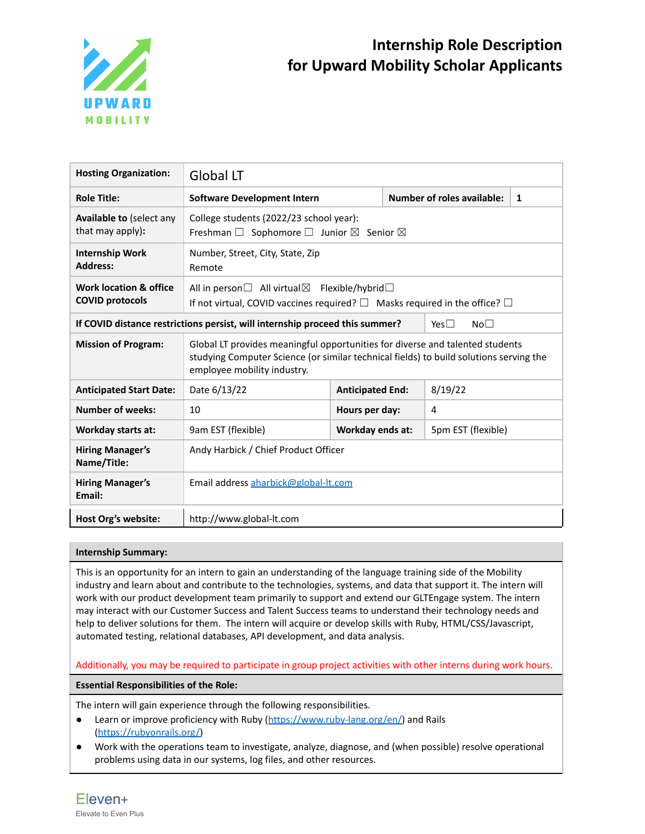

| <b>Hosting Organization:</b>                                                                                     | <b>Global LT</b>                                                                                                                                                                                       |                         |  |                                   |   |  |
|------------------------------------------------------------------------------------------------------------------|--------------------------------------------------------------------------------------------------------------------------------------------------------------------------------------------------------|-------------------------|--|-----------------------------------|---|--|
| <b>Role Title:</b>                                                                                               | <b>Software Development Intern</b>                                                                                                                                                                     |                         |  | <b>Number of roles available:</b> | 1 |  |
| Available to (select any<br>that may apply):                                                                     | College students (2022/23 school year):<br>Freshman $\Box$ Sophomore $\Box$ Junior $\boxtimes$ Senior $\boxtimes$                                                                                      |                         |  |                                   |   |  |
| <b>Internship Work</b><br><b>Address:</b>                                                                        | Number, Street, City, State, Zip<br>Remote                                                                                                                                                             |                         |  |                                   |   |  |
| Work location & office<br><b>COVID protocols</b>                                                                 | All in person $\Box$ All virtual $\boxtimes$<br>Flexible/hybrid $\Box$<br>If not virtual, COVID vaccines required? $\square$ Masks required in the office? $\square$                                   |                         |  |                                   |   |  |
| If COVID distance restrictions persist, will internship proceed this summer?<br>No <sub>1</sub><br>Yes $\square$ |                                                                                                                                                                                                        |                         |  |                                   |   |  |
| <b>Mission of Program:</b>                                                                                       | Global LT provides meaningful opportunities for diverse and talented students<br>studying Computer Science (or similar technical fields) to build solutions serving the<br>employee mobility industry. |                         |  |                                   |   |  |
| <b>Anticipated Start Date:</b>                                                                                   | Date 6/13/22                                                                                                                                                                                           | <b>Anticipated End:</b> |  | 8/19/22                           |   |  |
| <b>Number of weeks:</b>                                                                                          | 10                                                                                                                                                                                                     | Hours per day:<br>4     |  |                                   |   |  |
| <b>Workday starts at:</b>                                                                                        | 9am EST (flexible)                                                                                                                                                                                     | <b>Workday ends at:</b> |  | 5pm EST (flexible)                |   |  |
| <b>Hiring Manager's</b><br>Name/Title:                                                                           | Andy Harbick / Chief Product Officer                                                                                                                                                                   |                         |  |                                   |   |  |
| <b>Hiring Manager's</b><br>Email:                                                                                | Email address aharbick@global-lt.com                                                                                                                                                                   |                         |  |                                   |   |  |
| Host Org's website:                                                                                              | http://www.global-lt.com                                                                                                                                                                               |                         |  |                                   |   |  |

# **Internship Summary:**

This is an opportunity for an intern to gain an understanding of the language training side of the Mobility industry and learn about and contribute to the technologies, systems, and data that support it. The intern will work with our product development team primarily to support and extend our GLTEngage system. The intern may interact with our Customer Success and Talent Success teams to understand their technology needs and help to deliver solutions for them. The intern will acquire or develop skills with Ruby, HTML/CSS/Javascript, automated testing, relational databases, API development, and data analysis.

Additionally, you may be required to participate in group project activities with other interns during work hours.

**Essential Responsibilities of the Role:**

The intern will gain experience through the following responsibilities.

- Learn or improve proficiency with Ruby ([https://www.ruby-lang.org/en/\)](https://www.ruby-lang.org/en/) and Rails [\(https://rubyonrails.org/\)](https://rubyonrails.org/)
- Work with the operations team to investigate, analyze, diagnose, and (when possible) resolve operational problems using data in our systems, log files, and other resources.